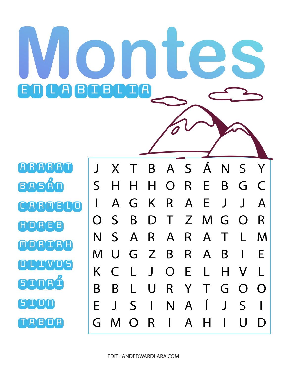BASÁN ARMELO HOREB MORIAH OLIVOS SINAÍ SION TABOR

**RARA** 



## $\bigcap$ **A BOBLINA**